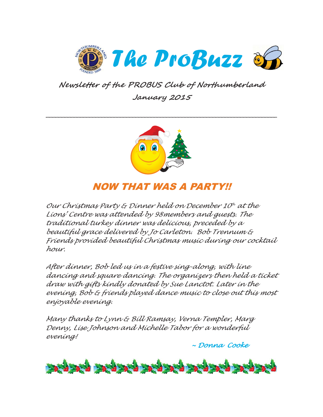

**Newsletter of the PROBUS Club of Northumberland January 2015** 



## NOW THAT WAS A PARTY!!

Our Christmas Party & Dinner held on December  $10^h$  at the Lions' Centre was attended by 98members and guests. The traditional turkey dinner was delicious, preceded by a beautiful grace delivered by Jo Carleton. Bob Trennum & Friends provided beautiful Christmas music during our cocktail hour.

After dinner, Bob led us in a festive sing-along, with line dancing and square dancing. The organizers then held a ticket draw with gifts kindly donated by Sue Lanctot. Later in the evening, Bob & friends played dance music to close out this most enjoyable evening.

Many thanks to Lynn & Bill Ramsay, Verna Templer, Marg Denny, Lise Johnson and Michelle Tabor for a wonderful evening!

~ Donna Cooke

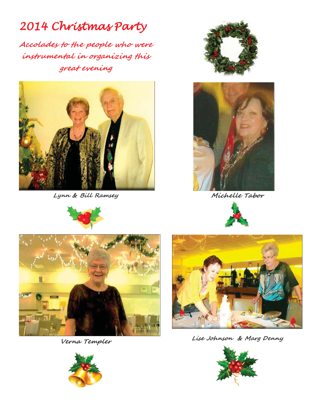# 2014 Christmas Party

**Accolades to the people who were instrumental in organizing this great evening** 



**Lynn & Bill Ramsey** 







**Michelle Tabor** 





**Verna Templer** 



**Lise Johnson & Marg Denny**



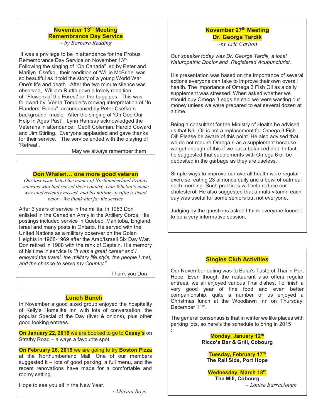### **November 13<sup>th</sup> Meeting Remembrance Day Service**

*~ by Barbara Redding*

 It was a privilege to be in attendance for the Probus Remembrance Day Service on November 13th. Following the singing of "Oh Canada" led by Peter and Marilyn Csefko, their rendition of 'Willie McBride' was so beautiful as it told the story of a young World War One's life and death. After the two minute silence was observed, William Ruttle gave a lovely rendition of 'Flowers of the Forest' on the bagpipes. This was followed by Verna Templer's moving interpretation of "In Flanders' Fields" accompanied by Peter Csefko`s background music. After the singing of 'Oh God Our Help In Ages Past', Lynn Ramsay acknowledged the Veterans in attendance: Geoff Coleman, Harold Coward and Jim Stirling. Everyone applauded and gave thanks for their service. The service ended with the playing of 'Retreat'.

May we always remember them.

#### **Don Whalen… one more good veteran**

*Our last issue listed the names of Northumberland Probus veterans who had served their country. Don Whelan's name was inadvertently missed, and his military profile is listed below. We thank him for his service*

After 3 years of service in the militia, in 1953 Don enlisted in the Canadian Army in the Artillery Corps. His postings included service in Quebec, Manitoba, England, Israel and many posts in Ontario. He served with the United Nations as a military observer on the Golan Heights in 1968-1969 after the Arab/Israeli Six Day War. Don retired in 1988 with the rank of Captain. His memory of his time in service is *"It was a great career and I enjoyed the travel, the military life style, the people I met, and the chance to serve my Country*."

Thank you Don.

:

#### **Lunch Bunch**

In November a good sized group enjoyed the hospitality of Kelly's Homelike Inn with lots of conversation, the popular Special of the Day (liver & onions), plus other good looking entrees.

**On January 22, 2015** we are booked to go to **Casey's** on Strathy Road – always a favourite spot.

**On February 26, 2015** we are going to try **Boston Pizza** at the Northumberland Mall. One of our members

suggested it – lots of good parking, a full menu, and the recent renovations have made for a comfortable and roomy setting.

Hope to see you all in the New Year.

ī

*~Marian Boys* 

## **November 27<sup>th</sup> Meeting Dr. George Tardik**

*~by Eric Carlton* 

Our *speaker today was Dr. George Tardik, a local Naturopathic Doctor and Registered Acupuncturist.*

His presentation was based on the importance of several actions everyone can take to improve their own overall health. The importance of Omega 3 Fish Oil as a daily supplement was stressed. When asked whether we should buy Omega 3 eggs he said we were wasting our money unless we were prepared to eat several dozen at a time.

Being a consultant for the Ministry of Health he advised us that Krill Oil is not a replacement for Omega 3 Fish Oil! Please be aware of this point. He also advised that we do not require Omega 6 as a supplement because we get enough of this if we eat a balanced diet. In fact, he suggested that supplements with Omega 6 oil be deposited in the garbage as they are useless.

Simple ways to improve our overall health were regular exercise, eating 23 almonds daily and a bowl of oatmeal each morning. Such practices will help reduce our cholesterol. He also suggested that a multi-vitamin each day was useful for some seniors but not everyone.

Judging by the questions asked I think everyone found it to be a very informative session.

#### **Singles Club Activities**

Our November outing was to Bulai's Taste of Thai in Port Hope. Even though the restaurant also offers regular entrees, we all enjoyed various Thai dishes. To finish a very good year of fine food and even better companionship, quite a number of us enjoyed a Christmas lunch at the Woodlawn Inn on Thursday, December 11<sup>th</sup>.

The general consensus is that in winter we like places with parking lots, so here's the schedule to bring in 2015

> **Monday, January 12th Ricco's Bar & Grill, Cobourg**

**Tuesday, February 17th The Rail Side, Port Hope** 

**Wednesday, March 18th The Mill, Cobourg** 

*~ Louise Barraclough*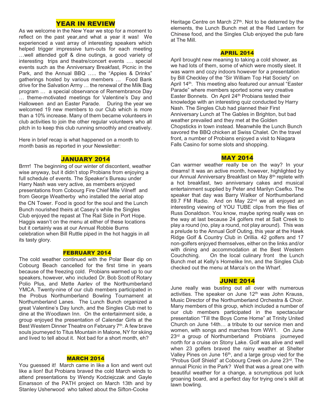#### YEAR IN REVIEW

As we welcome in the New Year we stop for a moment to reflect on the past year,and what a year it was! We experienced a vast array of interesting speakers which helped trigger impressive turn-outs for each meeting …well attended golf & dine outings, a good variety of interesting trips and theatre/concert events …. special events such as the Anniversary Breakfast, Picnic in the Park, and the Annual BBQ ….. the "Appies & Drinks" gatherings hosted by various members … Food Bank drive for the Salvation Army … the renewal of the Milk Bag program … a special observance of Remembrance Day … theme-motivated meetings for Valentine's Day and Halloween and an Easter Parade. During the year we welcomed 19 new members to our Club which is more than a 10% increase. Many of them became volunteers in club activities to join the other regular volunteers who all pitch in to keep this club running smoothly and creatively.

Here in brief recap is what happened on a month to month basis as reported in your Newsletter:

#### JANUARY 2014

Brrrr! The beginning of our winter of discontent, weather wise anyway, but it didn't stop Probians from enjoying a full schedule of events. The Speaker's Bureau under Harry Nash was very active, as members enjoyed presentations from Cobourg Fire Chief Mile Vilneff and from George Weatherby who installed the aerial atop the CN Tower. Food is good for the soul and the Lunch Bunch nourished theirs at Casey's while the Singles Club enjoyed the repast at The Rail Side in Port Hope. Haggis wasn't on the menu at either of these locations but it certainly was at our Annual Robbie Burns celebration when Bill Ruttle piped in the hot haggis in all its tasty glory.

#### FEBRUARY 2014

The cold weather continued with the Polar Bear dip on Cobourg Beach cancelled for the first time in years because of the freezing cold. Probians warmed up to our speakers, however, who included Dr. Bob Scott of Rotary Polio Plus, and Mette Aarlev of the Northumberland YMCA. Twenty-nine of our club members participated in the Probus Northumberland Bowling Tournament at Northumberland Lanes. The Lunch Bunch organized a great Valentine's Day lunch, and the Singles Club met to dine at the Woodlawn Inn. On the entertainment side, a group enjoyed the presentation of Calendar Girls at the Best Western Dinner Theatre on February 7<sup>th</sup>. A few brave souls journeyed to Titus Mountain in Malone, NY for skiing and lived to tell about it. Not bad for a short month, eh?

#### MARCH 2014

You guessed it! March came in like a lion and went out like a lion! But Probians braved the cold March winds to attend presentations by Wendy Kodziejczak and Gayle Einarsson of the PATH project on March 13th and by Stanley Usherwood who talked about the Sifton-Cooke

Heritage Centre on March  $27<sup>th</sup>$ . Not to be deterred by the elements, the Lunch Bunch met at the Red Lantern for Chinese food, and the Singles Club enjoyed the pub fare at The Mill.

#### APRIL 2014

April brought new meaning to taking a cold shower, as we had lots of them, some of which were mostly sleet. It was warm and cozy indoors however for a presentation by Bill Checkley of the "Sir William Top Hat Society" on April 14<sup>th</sup>. This meeting also featured our annual "Easter Parade" where members sported some very creative Easter Bonnets. On April 24<sup>th</sup> Probians tested their knowledge with an interesting quiz conducted by Harry Nash. The Singles Club had planned their First Anniversary Lunch at The Gables in Brighton, but bad weather prevailed and they met at the Golden Chopsticks in town instead. Meanwhile the Lunch Bunch savored the BBQ chicken at Swiss Chalet. On the travel front, a number of Probians enjoyed a visit to Niagara Falls Casino for some slots and shopping.

#### MAY 2014

Can warmer weather really be on the way? In your dreams! It was an active month, however, highlighted by our Annual Anniversary Breakfast on May 8<sup>th</sup> replete with a hot breakfast, two anniversary cakes and musical entertainment supplied by Peter and Marilyn Csefko. The speaker that day was Barry Walker of Northumberland 89.7 FM Radio. And on May 22<sup>nd</sup> we all enjoyed an interesting viewing of YOU TUBE clips from the files of Russ Donaldson. You know, maybe spring really was on the way at last because 24 golfers met at Salt Creek to play a round (no, play a round, not play around). This was a prelude to the Annual Golf Outing, this year at the Hawk Ridge Golf & Country Club in Orillia. 42 golfers and 17 non-golfers enjoyed themselves, either on the links and/or with dining and accommodation at the Best Western Couchching. On the local culinary front the Lunch Bunch met at Kelly's Homelike Inn, and the Singles Club checked out the menu at Marca's on the Wharf.

#### JUNE 2014

June really was busting out all over with numerous activities. The speaker on June 12<sup>th</sup> was John Krauss, Music Director of the Northumberland Orchestra & Choir. Many members of this group, which included a number of our club members participated in the spectacular presentation "Till the Boys Come Home" at Trinity United Church on June 14th… a tribute to our service men and women, with songs and marches from WW1. On June 23<sup>rd</sup> a group of Northumberland Probians journeyed north for a cruise on Stony Lake. Golf was alive and well when 23 golfers braved the rainy weather at Shelter Valley Pines on June 16<sup>th</sup>, and a large group vied for the "Probus Golf Shield" at Cobourg Creek on June 23rd. The annual Picnic in the Park? Well that was a great one with beautiful weather for a change, a scrumptious pot luck groaning board, and a perfect day for trying one's skill at lawn bowling.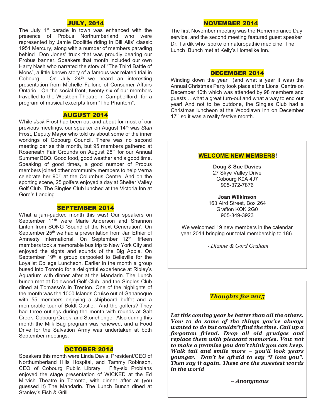#### JULY, 2014

The July 1<sup>st</sup> parade in town was enhanced with the presence of Probus Northumberland who were represented by Jamie Doolittle riding in Bill Alls' classic 1951 Mercury, along with a number of members parading behind Don Jones' truck that was proudly bearing our Probus banner. Speakers that month included our own Harry Nash who narrated the story of "The Third Battle of Mons", a little known story of a famous war related trial in Cobourg. On July 24th we heard an interesting presentation from Michelle Fallone of Consumer Affairs Ontario. On the social front, twenty-six of our members travelled to the Westben Theatre in Campbellford for a program of musical excerpts from "The Phantom".

#### AUGUST 2014

While *Jack* Frost had been out and about for most of our previous meetings, our speaker on August 14th was *Stan* Frost, Deputy Mayor who told us about some of the inner workings of Cobourg Council. There was no second meeting per se this month, but 95 members gathered at Roseneath Fair Grounds on August 28<sup>th</sup> for our Annual Summer BBQ. Good food, good weather and a good time. Speaking of good times, a good number of Probus members joined other community members to help Verna celebrate her 90<sup>th</sup> at the Columbus Centre. And on the sporting scene, 25 golfers enjoyed a day at Shelter Valley Golf Club. The Singles Club lunched at the Victoria Inn at Gore's Landing.

#### SEPTEMBER 2014

What a jam-packed month this was! Our speakers on September 11<sup>th</sup> were Marie Anderson and Shannon Linton from SONG 'Sound of the Next Generation'. On September 25<sup>th</sup> we had a presentation from Jan Ethier of Amnesty International. On September 12<sup>th</sup>, fifteen members took a memorable bus trip to New York City and enjoyed the sights and sounds of the Big Apple. On September 19<sup>th</sup> a group carpooled to Belleville for the Loyalist College Luncheon. Earlier in the month a group bused into Toronto for a delightful experience at Ripley's Aquarium with dinner after at the Mandarin. The Lunch bunch met at Dalewood Golf Club, and the Singles Club dined at Tomasso's in Trenton. One of the highlights of the month was the 1000 Islands Cruise out of Gananoque with 55 members enjoying a shipboard buffet and a memorable tour of Boldt Castle. And the golfers? They had three outings during the month with rounds at Salt Creek, Cobourg Creek, and Stonehenge. Also during this month the Milk Bag program was renewed, and a Food Drive for the Salvation Army was undertaken at both September meetings.

#### OCTOBER 2014

Speakers this month were Linda Davis, President/CEO of Northumberland Hills Hospital, and Tammy Robinson, CEO of Cobourg Public Library. Fifty-six Probians enjoyed the stage presentation of WICKED at the Ed Mirvish Theatre in Toronto, with dinner after at (you guessed it) The Mandarin. The Lunch Bunch dined at Stanley's Fish & Grill.

#### NOVEMBER 2014

The first November meeting was the Remembrance Day service, and the second meeting featured guest speaker Dr. Tardik who spoke on naturopathic medicine. The Lunch Bunch met at Kelly's Homelike Inn.

#### DECEMBER 2014

Winding down the year (and what a year it was) the Annual Christmas Party took place at the Lions' Centre on December 10th which was attended by 98 members and guests …what a great turn-out and what a way to end our year! And not to be outdone, the Singles Club had a Christmas luncheon at the Woodlawn Inn on December 17<sup>th</sup> so it was a really festive month.

#### **WELCOME NEW MEMBERS!**

**Doug & Sue Davies**  27 Skye Valley Drive Cobourg K9A 4J7 905-372-7876

**Joan Wilkinson**  163 Aird Street, Box 264 Grafton KOK 2G0 905-349-3923

We welcomed 19 new members in the calendar year 2014 bringing our total membership to 186.

*~ Dianne & Gord Graham* 

#### *Thoughts for 2015*

*Let this coming year be better than all the others. Vow to do some of the things you've always wanted to do but couldn't find the time. Call up a forgotten friend. Drop all old grudges and replace them with pleasant memories. Vow not to make a promise you don't think you can keep. Walk tall and smile more – you'll look years younger. Don't be afraid to say "I love you". Then say it again. These are the sweetest words in the world* 

 *~ Anonymous*